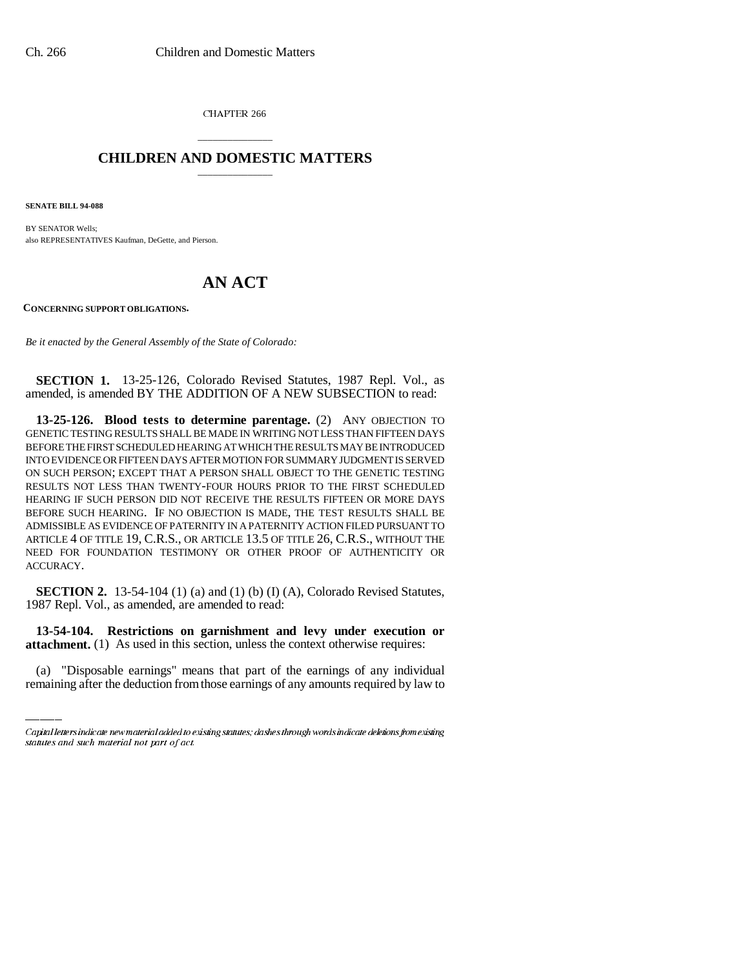CHAPTER 266

# \_\_\_\_\_\_\_\_\_\_\_\_\_\_\_ **CHILDREN AND DOMESTIC MATTERS** \_\_\_\_\_\_\_\_\_\_\_\_\_\_\_

**SENATE BILL 94-088**

BY SENATOR Wells; also REPRESENTATIVES Kaufman, DeGette, and Pierson.

# **AN ACT**

**CONCERNING SUPPORT OBLIGATIONS.**

*Be it enacted by the General Assembly of the State of Colorado:*

**SECTION 1.** 13-25-126, Colorado Revised Statutes, 1987 Repl. Vol., as amended, is amended BY THE ADDITION OF A NEW SUBSECTION to read:

**13-25-126. Blood tests to determine parentage.** (2) ANY OBJECTION TO GENETIC TESTING RESULTS SHALL BE MADE IN WRITING NOT LESS THAN FIFTEEN DAYS BEFORE THE FIRST SCHEDULED HEARING AT WHICH THE RESULTS MAY BE INTRODUCED INTO EVIDENCE OR FIFTEEN DAYS AFTER MOTION FOR SUMMARY JUDGMENT IS SERVED ON SUCH PERSON; EXCEPT THAT A PERSON SHALL OBJECT TO THE GENETIC TESTING RESULTS NOT LESS THAN TWENTY-FOUR HOURS PRIOR TO THE FIRST SCHEDULED HEARING IF SUCH PERSON DID NOT RECEIVE THE RESULTS FIFTEEN OR MORE DAYS BEFORE SUCH HEARING. IF NO OBJECTION IS MADE, THE TEST RESULTS SHALL BE ADMISSIBLE AS EVIDENCE OF PATERNITY IN A PATERNITY ACTION FILED PURSUANT TO ARTICLE 4 OF TITLE 19, C.R.S., OR ARTICLE 13.5 OF TITLE 26, C.R.S., WITHOUT THE NEED FOR FOUNDATION TESTIMONY OR OTHER PROOF OF AUTHENTICITY OR ACCURACY.

**SECTION 2.** 13-54-104 (1) (a) and (1) (b) (I) (A), Colorado Revised Statutes, 1987 Repl. Vol., as amended, are amended to read:

 **13-54-104. Restrictions on garnishment and levy under execution or attachment.** (1) As used in this section, unless the context otherwise requires:

(a) "Disposable earnings" means that part of the earnings of any individual remaining after the deduction from those earnings of any amounts required by law to

Capital letters indicate new material added to existing statutes; dashes through words indicate deletions from existing statutes and such material not part of act.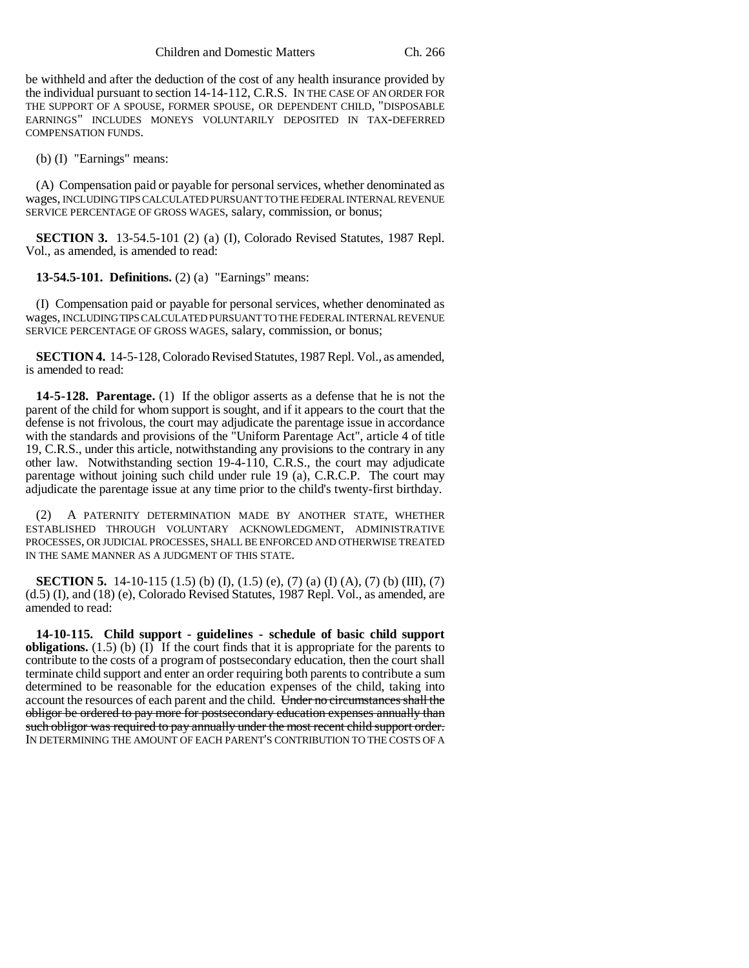be withheld and after the deduction of the cost of any health insurance provided by the individual pursuant to section 14-14-112, C.R.S. IN THE CASE OF AN ORDER FOR THE SUPPORT OF A SPOUSE, FORMER SPOUSE, OR DEPENDENT CHILD, "DISPOSABLE EARNINGS" INCLUDES MONEYS VOLUNTARILY DEPOSITED IN TAX-DEFERRED COMPENSATION FUNDS.

(b) (I) "Earnings" means:

(A) Compensation paid or payable for personal services, whether denominated as wages, INCLUDING TIPS CALCULATED PURSUANT TO THE FEDERAL INTERNAL REVENUE SERVICE PERCENTAGE OF GROSS WAGES, salary, commission, or bonus;

**SECTION 3.** 13-54.5-101 (2) (a) (I), Colorado Revised Statutes, 1987 Repl. Vol., as amended, is amended to read:

**13-54.5-101. Definitions.** (2) (a) "Earnings" means:

(I) Compensation paid or payable for personal services, whether denominated as wages, INCLUDING TIPS CALCULATED PURSUANT TO THE FEDERAL INTERNAL REVENUE SERVICE PERCENTAGE OF GROSS WAGES, salary, commission, or bonus;

**SECTION 4.** 14-5-128, Colorado Revised Statutes, 1987 Repl. Vol., as amended, is amended to read:

**14-5-128. Parentage.** (1) If the obligor asserts as a defense that he is not the parent of the child for whom support is sought, and if it appears to the court that the defense is not frivolous, the court may adjudicate the parentage issue in accordance with the standards and provisions of the "Uniform Parentage Act", article 4 of title 19, C.R.S., under this article, notwithstanding any provisions to the contrary in any other law. Notwithstanding section 19-4-110, C.R.S., the court may adjudicate parentage without joining such child under rule 19 (a), C.R.C.P. The court may adjudicate the parentage issue at any time prior to the child's twenty-first birthday.

(2) A PATERNITY DETERMINATION MADE BY ANOTHER STATE, WHETHER ESTABLISHED THROUGH VOLUNTARY ACKNOWLEDGMENT, ADMINISTRATIVE PROCESSES, OR JUDICIAL PROCESSES, SHALL BE ENFORCED AND OTHERWISE TREATED IN THE SAME MANNER AS A JUDGMENT OF THIS STATE.

**SECTION 5.** 14-10-115 (1.5) (b) (I), (1.5) (e), (7) (a) (I) (A), (7) (b) (III), (7) (d.5) (I), and (18) (e), Colorado Revised Statutes, 1987 Repl. Vol., as amended, are amended to read:

**14-10-115. Child support - guidelines - schedule of basic child support obligations.** (1.5) (b)  $(I)$  If the court finds that it is appropriate for the parents to contribute to the costs of a program of postsecondary education, then the court shall terminate child support and enter an order requiring both parents to contribute a sum determined to be reasonable for the education expenses of the child, taking into account the resources of each parent and the child. Under no circumstances shall the obligor be ordered to pay more for postsecondary education expenses annually than such obligor was required to pay annually under the most recent child support order. IN DETERMINING THE AMOUNT OF EACH PARENT'S CONTRIBUTION TO THE COSTS OF A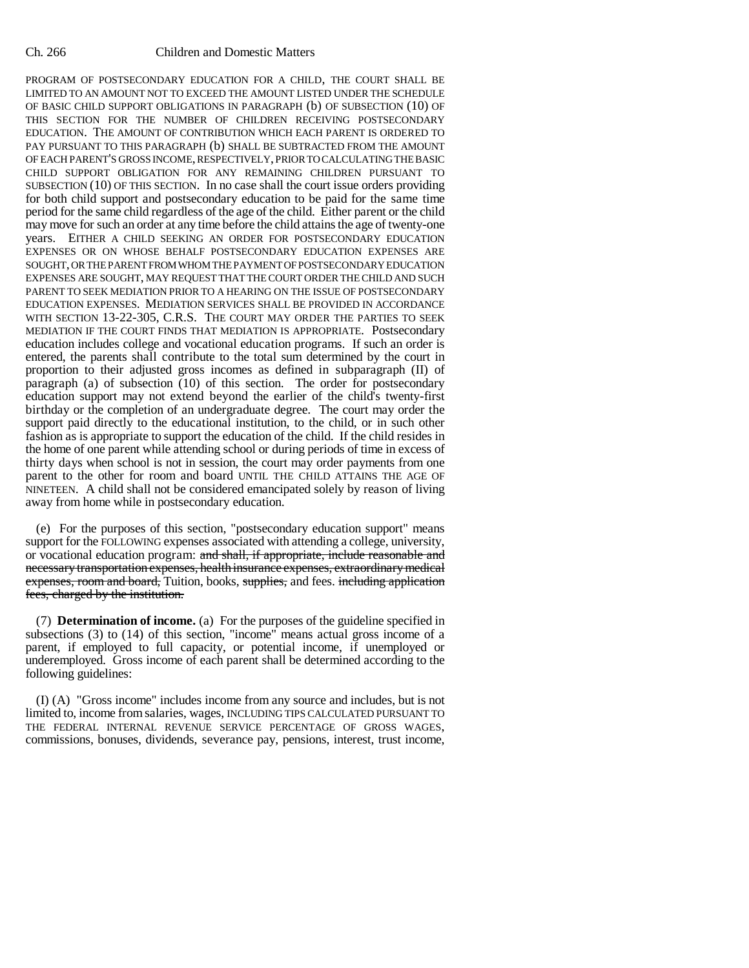PROGRAM OF POSTSECONDARY EDUCATION FOR A CHILD, THE COURT SHALL BE LIMITED TO AN AMOUNT NOT TO EXCEED THE AMOUNT LISTED UNDER THE SCHEDULE OF BASIC CHILD SUPPORT OBLIGATIONS IN PARAGRAPH (b) OF SUBSECTION (10) OF THIS SECTION FOR THE NUMBER OF CHILDREN RECEIVING POSTSECONDARY EDUCATION. THE AMOUNT OF CONTRIBUTION WHICH EACH PARENT IS ORDERED TO PAY PURSUANT TO THIS PARAGRAPH (b) SHALL BE SUBTRACTED FROM THE AMOUNT OF EACH PARENT'S GROSS INCOME, RESPECTIVELY, PRIOR TO CALCULATING THE BASIC CHILD SUPPORT OBLIGATION FOR ANY REMAINING CHILDREN PURSUANT TO SUBSECTION (10) OF THIS SECTION. In no case shall the court issue orders providing for both child support and postsecondary education to be paid for the same time period for the same child regardless of the age of the child. Either parent or the child may move for such an order at any time before the child attains the age of twenty-one years. EITHER A CHILD SEEKING AN ORDER FOR POSTSECONDARY EDUCATION EXPENSES OR ON WHOSE BEHALF POSTSECONDARY EDUCATION EXPENSES ARE SOUGHT, OR THE PARENT FROM WHOM THE PAYMENT OF POSTSECONDARY EDUCATION EXPENSES ARE SOUGHT, MAY REQUEST THAT THE COURT ORDER THE CHILD AND SUCH PARENT TO SEEK MEDIATION PRIOR TO A HEARING ON THE ISSUE OF POSTSECONDARY EDUCATION EXPENSES. MEDIATION SERVICES SHALL BE PROVIDED IN ACCORDANCE WITH SECTION 13-22-305, C.R.S. THE COURT MAY ORDER THE PARTIES TO SEEK MEDIATION IF THE COURT FINDS THAT MEDIATION IS APPROPRIATE. Postsecondary education includes college and vocational education programs. If such an order is entered, the parents shall contribute to the total sum determined by the court in proportion to their adjusted gross incomes as defined in subparagraph (II) of paragraph (a) of subsection (10) of this section. The order for postsecondary education support may not extend beyond the earlier of the child's twenty-first birthday or the completion of an undergraduate degree. The court may order the support paid directly to the educational institution, to the child, or in such other fashion as is appropriate to support the education of the child. If the child resides in the home of one parent while attending school or during periods of time in excess of thirty days when school is not in session, the court may order payments from one parent to the other for room and board UNTIL THE CHILD ATTAINS THE AGE OF NINETEEN. A child shall not be considered emancipated solely by reason of living away from home while in postsecondary education.

(e) For the purposes of this section, "postsecondary education support" means support for the FOLLOWING expenses associated with attending a college, university, or vocational education program: and shall, if appropriate, include reasonable and necessary transportation expenses, health insurance expenses, extraordinary medical expenses, room and board, Tuition, books, supplies, and fees. including application fees, charged by the institution.

(7) **Determination of income.** (a) For the purposes of the guideline specified in subsections (3) to (14) of this section, "income" means actual gross income of a parent, if employed to full capacity, or potential income, if unemployed or underemployed. Gross income of each parent shall be determined according to the following guidelines:

(I) (A) "Gross income" includes income from any source and includes, but is not limited to, income from salaries, wages, INCLUDING TIPS CALCULATED PURSUANT TO THE FEDERAL INTERNAL REVENUE SERVICE PERCENTAGE OF GROSS WAGES, commissions, bonuses, dividends, severance pay, pensions, interest, trust income,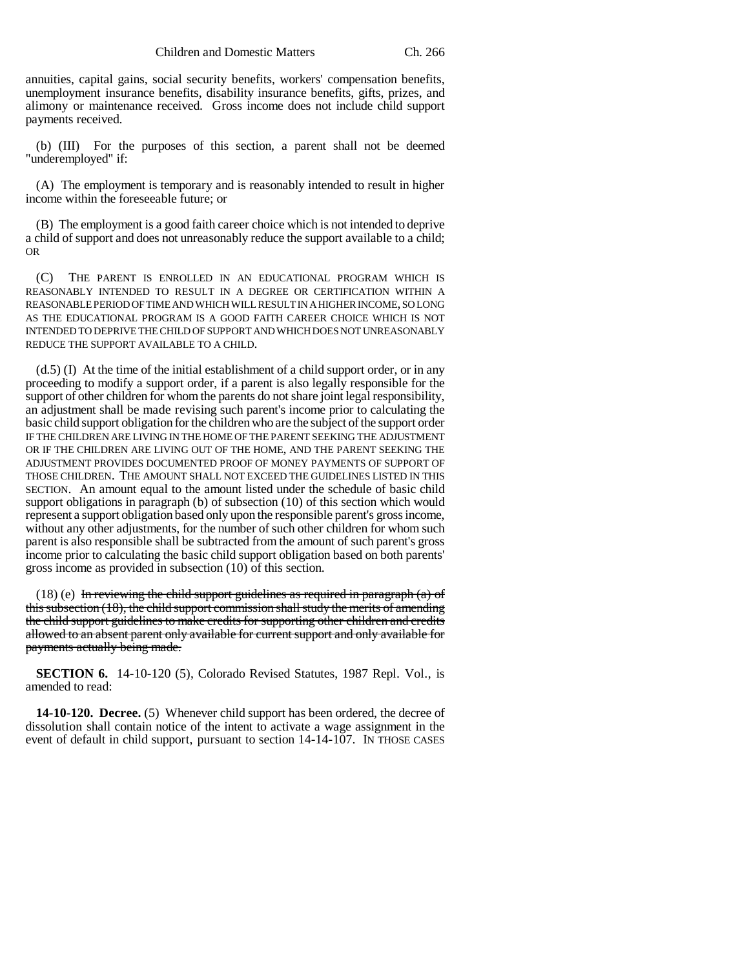annuities, capital gains, social security benefits, workers' compensation benefits, unemployment insurance benefits, disability insurance benefits, gifts, prizes, and alimony or maintenance received. Gross income does not include child support payments received.

(b) (III) For the purposes of this section, a parent shall not be deemed "underemployed" if:

(A) The employment is temporary and is reasonably intended to result in higher income within the foreseeable future; or

(B) The employment is a good faith career choice which is not intended to deprive a child of support and does not unreasonably reduce the support available to a child; OR

(C) THE PARENT IS ENROLLED IN AN EDUCATIONAL PROGRAM WHICH IS REASONABLY INTENDED TO RESULT IN A DEGREE OR CERTIFICATION WITHIN A REASONABLE PERIOD OF TIME AND WHICH WILL RESULT IN A HIGHER INCOME, SO LONG AS THE EDUCATIONAL PROGRAM IS A GOOD FAITH CAREER CHOICE WHICH IS NOT INTENDED TO DEPRIVE THE CHILD OF SUPPORT AND WHICH DOES NOT UNREASONABLY REDUCE THE SUPPORT AVAILABLE TO A CHILD.

(d.5) (I) At the time of the initial establishment of a child support order, or in any proceeding to modify a support order, if a parent is also legally responsible for the support of other children for whom the parents do not share joint legal responsibility, an adjustment shall be made revising such parent's income prior to calculating the basic child support obligation for the children who are the subject of the support order IF THE CHILDREN ARE LIVING IN THE HOME OF THE PARENT SEEKING THE ADJUSTMENT OR IF THE CHILDREN ARE LIVING OUT OF THE HOME, AND THE PARENT SEEKING THE ADJUSTMENT PROVIDES DOCUMENTED PROOF OF MONEY PAYMENTS OF SUPPORT OF THOSE CHILDREN. THE AMOUNT SHALL NOT EXCEED THE GUIDELINES LISTED IN THIS SECTION. An amount equal to the amount listed under the schedule of basic child support obligations in paragraph (b) of subsection (10) of this section which would represent a support obligation based only upon the responsible parent's gross income, without any other adjustments, for the number of such other children for whom such parent is also responsible shall be subtracted from the amount of such parent's gross income prior to calculating the basic child support obligation based on both parents' gross income as provided in subsection (10) of this section.

(18) (e) In reviewing the child support guidelines as required in paragraph (a) of this subsection (18), the child support commission shall study the merits of amending the child support guidelines to make credits for supporting other children and credits allowed to an absent parent only available for current support and only available for payments actually being made.

**SECTION 6.** 14-10-120 (5), Colorado Revised Statutes, 1987 Repl. Vol., is amended to read:

**14-10-120. Decree.** (5) Whenever child support has been ordered, the decree of dissolution shall contain notice of the intent to activate a wage assignment in the event of default in child support, pursuant to section 14-14-107. IN THOSE CASES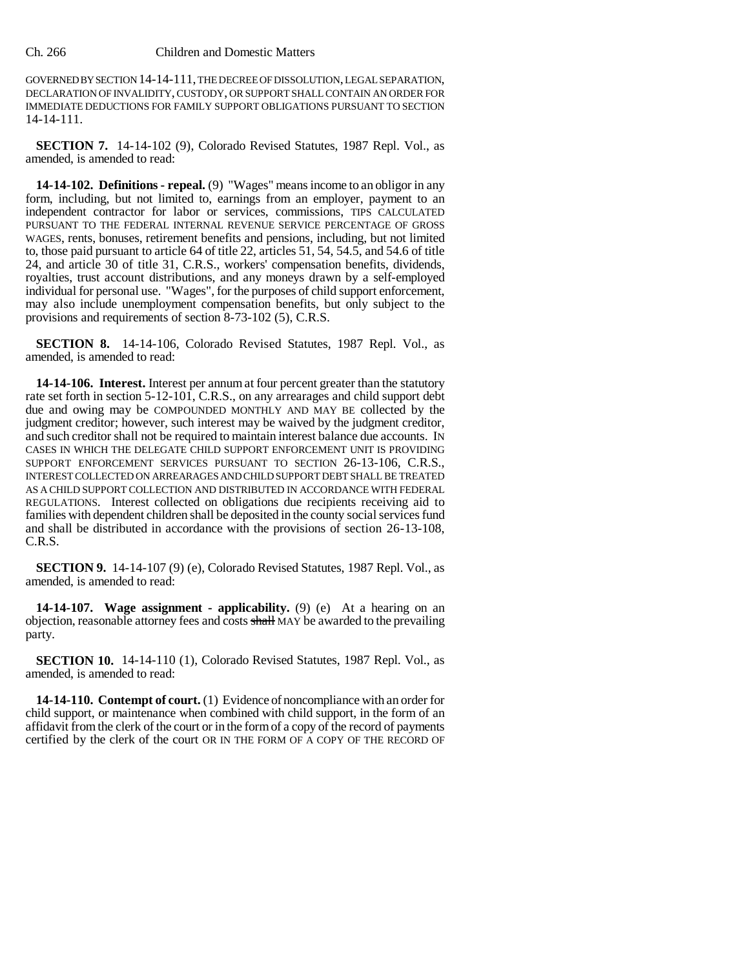## Ch. 266 Children and Domestic Matters

GOVERNED BY SECTION 14-14-111, THE DECREE OF DISSOLUTION, LEGAL SEPARATION, DECLARATION OF INVALIDITY, CUSTODY, OR SUPPORT SHALL CONTAIN AN ORDER FOR IMMEDIATE DEDUCTIONS FOR FAMILY SUPPORT OBLIGATIONS PURSUANT TO SECTION 14-14-111.

**SECTION 7.** 14-14-102 (9), Colorado Revised Statutes, 1987 Repl. Vol., as amended, is amended to read:

**14-14-102. Definitions - repeal.** (9) "Wages" means income to an obligor in any form, including, but not limited to, earnings from an employer, payment to an independent contractor for labor or services, commissions, TIPS CALCULATED PURSUANT TO THE FEDERAL INTERNAL REVENUE SERVICE PERCENTAGE OF GROSS WAGES, rents, bonuses, retirement benefits and pensions, including, but not limited to, those paid pursuant to article 64 of title 22, articles 51, 54, 54.5, and 54.6 of title 24, and article 30 of title 31, C.R.S., workers' compensation benefits, dividends, royalties, trust account distributions, and any moneys drawn by a self-employed individual for personal use. "Wages", for the purposes of child support enforcement, may also include unemployment compensation benefits, but only subject to the provisions and requirements of section 8-73-102 (5), C.R.S.

**SECTION 8.** 14-14-106, Colorado Revised Statutes, 1987 Repl. Vol., as amended, is amended to read:

**14-14-106. Interest.** Interest per annum at four percent greater than the statutory rate set forth in section 5-12-101, C.R.S., on any arrearages and child support debt due and owing may be COMPOUNDED MONTHLY AND MAY BE collected by the judgment creditor; however, such interest may be waived by the judgment creditor, and such creditor shall not be required to maintain interest balance due accounts. IN CASES IN WHICH THE DELEGATE CHILD SUPPORT ENFORCEMENT UNIT IS PROVIDING SUPPORT ENFORCEMENT SERVICES PURSUANT TO SECTION 26-13-106, C.R.S., INTEREST COLLECTED ON ARREARAGES AND CHILD SUPPORT DEBT SHALL BE TREATED AS A CHILD SUPPORT COLLECTION AND DISTRIBUTED IN ACCORDANCE WITH FEDERAL REGULATIONS. Interest collected on obligations due recipients receiving aid to families with dependent children shall be deposited in the county social services fund and shall be distributed in accordance with the provisions of section 26-13-108, C.R.S.

**SECTION 9.** 14-14-107 (9) (e), Colorado Revised Statutes, 1987 Repl. Vol., as amended, is amended to read:

**14-14-107. Wage assignment - applicability.** (9) (e) At a hearing on an objection, reasonable attorney fees and costs shall MAY be awarded to the prevailing party.

**SECTION 10.** 14-14-110 (1), Colorado Revised Statutes, 1987 Repl. Vol., as amended, is amended to read:

**14-14-110. Contempt of court.** (1) Evidence of noncompliance with an order for child support, or maintenance when combined with child support, in the form of an affidavit from the clerk of the court or in the form of a copy of the record of payments certified by the clerk of the court OR IN THE FORM OF A COPY OF THE RECORD OF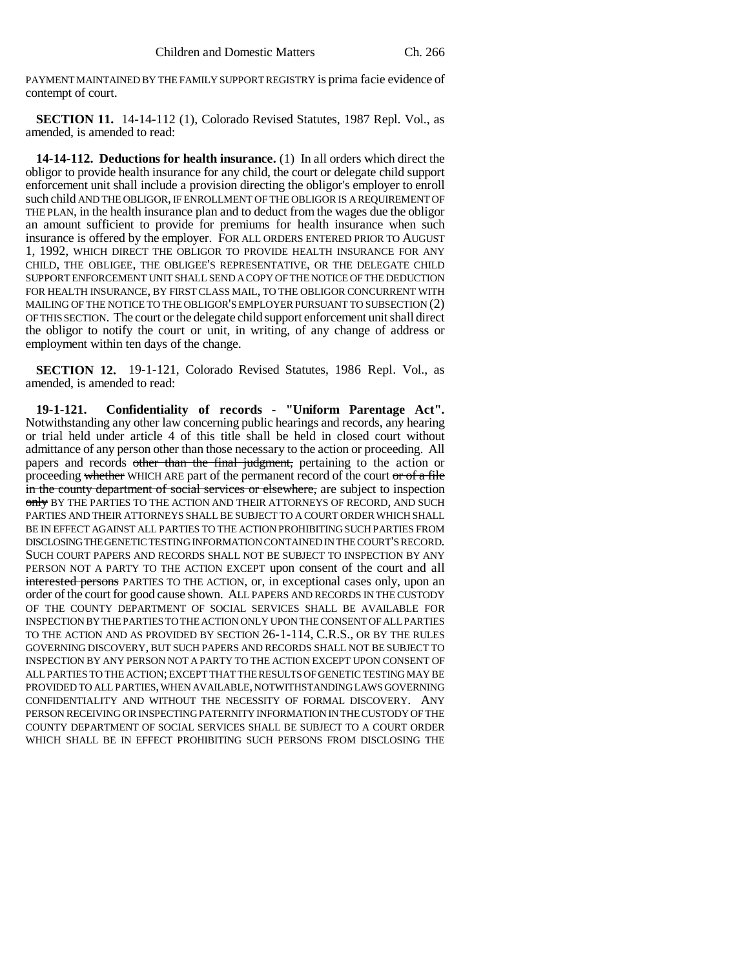PAYMENT MAINTAINED BY THE FAMILY SUPPORT REGISTRY is prima facie evidence of contempt of court.

**SECTION 11.** 14-14-112 (1), Colorado Revised Statutes, 1987 Repl. Vol., as amended, is amended to read:

**14-14-112. Deductions for health insurance.** (1) In all orders which direct the obligor to provide health insurance for any child, the court or delegate child support enforcement unit shall include a provision directing the obligor's employer to enroll such child AND THE OBLIGOR, IF ENROLLMENT OF THE OBLIGOR IS A REQUIREMENT OF THE PLAN, in the health insurance plan and to deduct from the wages due the obligor an amount sufficient to provide for premiums for health insurance when such insurance is offered by the employer. FOR ALL ORDERS ENTERED PRIOR TO AUGUST 1, 1992, WHICH DIRECT THE OBLIGOR TO PROVIDE HEALTH INSURANCE FOR ANY CHILD, THE OBLIGEE, THE OBLIGEE'S REPRESENTATIVE, OR THE DELEGATE CHILD SUPPORT ENFORCEMENT UNIT SHALL SEND A COPY OF THE NOTICE OF THE DEDUCTION FOR HEALTH INSURANCE, BY FIRST CLASS MAIL, TO THE OBLIGOR CONCURRENT WITH MAILING OF THE NOTICE TO THE OBLIGOR'S EMPLOYER PURSUANT TO SUBSECTION (2) OF THIS SECTION. The court or the delegate child support enforcement unit shall direct the obligor to notify the court or unit, in writing, of any change of address or employment within ten days of the change.

**SECTION 12.** 19-1-121, Colorado Revised Statutes, 1986 Repl. Vol., as amended, is amended to read:

**19-1-121. Confidentiality of records - "Uniform Parentage Act".** Notwithstanding any other law concerning public hearings and records, any hearing or trial held under article 4 of this title shall be held in closed court without admittance of any person other than those necessary to the action or proceeding. All papers and records other than the final judgment, pertaining to the action or proceeding whether WHICH ARE part of the permanent record of the court or of a file in the county department of social services or elsewhere, are subject to inspection only BY THE PARTIES TO THE ACTION AND THEIR ATTORNEYS OF RECORD, AND SUCH PARTIES AND THEIR ATTORNEYS SHALL BE SUBJECT TO A COURT ORDER WHICH SHALL BE IN EFFECT AGAINST ALL PARTIES TO THE ACTION PROHIBITING SUCH PARTIES FROM DISCLOSING THE GENETIC TESTING INFORMATION CONTAINED IN THE COURT'S RECORD. SUCH COURT PAPERS AND RECORDS SHALL NOT BE SUBJECT TO INSPECTION BY ANY PERSON NOT A PARTY TO THE ACTION EXCEPT upon consent of the court and all interested persons PARTIES TO THE ACTION, or, in exceptional cases only, upon an order of the court for good cause shown. ALL PAPERS AND RECORDS IN THE CUSTODY OF THE COUNTY DEPARTMENT OF SOCIAL SERVICES SHALL BE AVAILABLE FOR INSPECTION BY THE PARTIES TO THE ACTION ONLY UPON THE CONSENT OF ALL PARTIES TO THE ACTION AND AS PROVIDED BY SECTION 26-1-114, C.R.S., OR BY THE RULES GOVERNING DISCOVERY, BUT SUCH PAPERS AND RECORDS SHALL NOT BE SUBJECT TO INSPECTION BY ANY PERSON NOT A PARTY TO THE ACTION EXCEPT UPON CONSENT OF ALL PARTIES TO THE ACTION; EXCEPT THAT THE RESULTS OF GENETIC TESTING MAY BE PROVIDED TO ALL PARTIES, WHEN AVAILABLE, NOTWITHSTANDING LAWS GOVERNING CONFIDENTIALITY AND WITHOUT THE NECESSITY OF FORMAL DISCOVERY. ANY PERSON RECEIVING OR INSPECTING PATERNITY INFORMATION IN THE CUSTODY OF THE COUNTY DEPARTMENT OF SOCIAL SERVICES SHALL BE SUBJECT TO A COURT ORDER WHICH SHALL BE IN EFFECT PROHIBITING SUCH PERSONS FROM DISCLOSING THE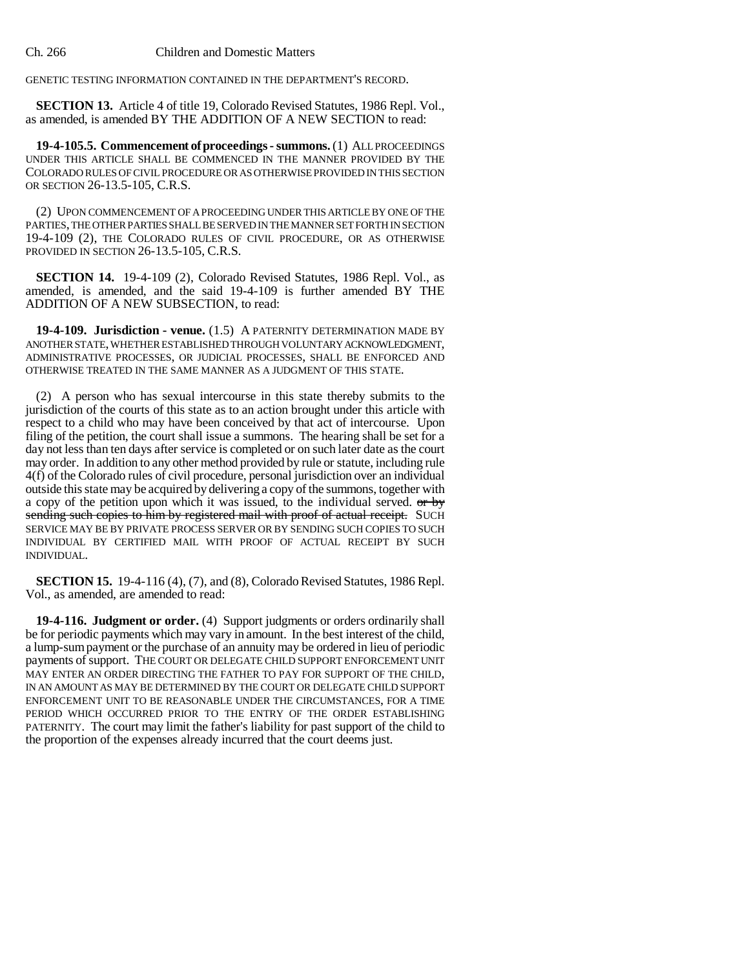GENETIC TESTING INFORMATION CONTAINED IN THE DEPARTMENT'S RECORD.

**SECTION 13.** Article 4 of title 19, Colorado Revised Statutes, 1986 Repl. Vol., as amended, is amended BY THE ADDITION OF A NEW SECTION to read:

**19-4-105.5. Commencement of proceedings - summons.** (1) ALL PROCEEDINGS UNDER THIS ARTICLE SHALL BE COMMENCED IN THE MANNER PROVIDED BY THE COLORADO RULES OF CIVIL PROCEDURE OR AS OTHERWISE PROVIDED IN THIS SECTION OR SECTION 26-13.5-105, C.R.S.

(2) UPON COMMENCEMENT OF A PROCEEDING UNDER THIS ARTICLE BY ONE OF THE PARTIES, THE OTHER PARTIES SHALL BE SERVED IN THE MANNER SET FORTH IN SECTION 19-4-109 (2), THE COLORADO RULES OF CIVIL PROCEDURE, OR AS OTHERWISE PROVIDED IN SECTION 26-13.5-105, C.R.S.

**SECTION 14.** 19-4-109 (2), Colorado Revised Statutes, 1986 Repl. Vol., as amended, is amended, and the said 19-4-109 is further amended BY THE ADDITION OF A NEW SUBSECTION, to read:

**19-4-109. Jurisdiction - venue.** (1.5) A PATERNITY DETERMINATION MADE BY ANOTHER STATE, WHETHER ESTABLISHED THROUGH VOLUNTARY ACKNOWLEDGMENT, ADMINISTRATIVE PROCESSES, OR JUDICIAL PROCESSES, SHALL BE ENFORCED AND OTHERWISE TREATED IN THE SAME MANNER AS A JUDGMENT OF THIS STATE.

(2) A person who has sexual intercourse in this state thereby submits to the jurisdiction of the courts of this state as to an action brought under this article with respect to a child who may have been conceived by that act of intercourse. Upon filing of the petition, the court shall issue a summons. The hearing shall be set for a day not less than ten days after service is completed or on such later date as the court may order. In addition to any other method provided by rule or statute, including rule 4(f) of the Colorado rules of civil procedure, personal jurisdiction over an individual outside this state may be acquired by delivering a copy of the summons, together with a copy of the petition upon which it was issued, to the individual served.  $\sigma r$  by sending such copies to him by registered mail with proof of actual receipt. SUCH SERVICE MAY BE BY PRIVATE PROCESS SERVER OR BY SENDING SUCH COPIES TO SUCH INDIVIDUAL BY CERTIFIED MAIL WITH PROOF OF ACTUAL RECEIPT BY SUCH INDIVIDUAL.

**SECTION 15.** 19-4-116 (4), (7), and (8), Colorado Revised Statutes, 1986 Repl. Vol., as amended, are amended to read:

**19-4-116. Judgment or order.** (4) Support judgments or orders ordinarily shall be for periodic payments which may vary in amount. In the best interest of the child, a lump-sum payment or the purchase of an annuity may be ordered in lieu of periodic payments of support. THE COURT OR DELEGATE CHILD SUPPORT ENFORCEMENT UNIT MAY ENTER AN ORDER DIRECTING THE FATHER TO PAY FOR SUPPORT OF THE CHILD, IN AN AMOUNT AS MAY BE DETERMINED BY THE COURT OR DELEGATE CHILD SUPPORT ENFORCEMENT UNIT TO BE REASONABLE UNDER THE CIRCUMSTANCES, FOR A TIME PERIOD WHICH OCCURRED PRIOR TO THE ENTRY OF THE ORDER ESTABLISHING PATERNITY. The court may limit the father's liability for past support of the child to the proportion of the expenses already incurred that the court deems just.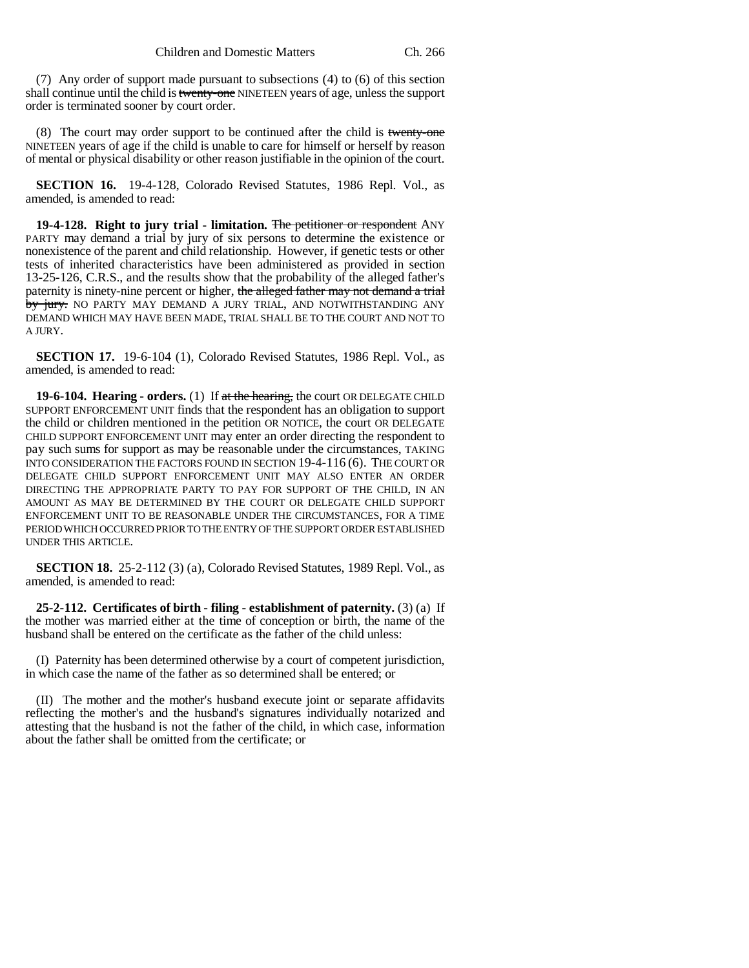(7) Any order of support made pursuant to subsections (4) to (6) of this section shall continue until the child is twenty-one NINETEEN years of age, unless the support order is terminated sooner by court order.

(8) The court may order support to be continued after the child is twenty-one NINETEEN years of age if the child is unable to care for himself or herself by reason of mental or physical disability or other reason justifiable in the opinion of the court.

**SECTION 16.** 19-4-128, Colorado Revised Statutes, 1986 Repl. Vol., as amended, is amended to read:

**19-4-128. Right to jury trial - limitation.** The petitioner or respondent ANY PARTY may demand a trial by jury of six persons to determine the existence or nonexistence of the parent and child relationship. However, if genetic tests or other tests of inherited characteristics have been administered as provided in section 13-25-126, C.R.S., and the results show that the probability of the alleged father's paternity is ninety-nine percent or higher, the alleged father may not demand a trial by jury. NO PARTY MAY DEMAND A JURY TRIAL, AND NOTWITHSTANDING ANY DEMAND WHICH MAY HAVE BEEN MADE, TRIAL SHALL BE TO THE COURT AND NOT TO A JURY.

**SECTION 17.** 19-6-104 (1), Colorado Revised Statutes, 1986 Repl. Vol., as amended, is amended to read:

**19-6-104. Hearing - orders.** (1) If at the hearing, the court OR DELEGATE CHILD SUPPORT ENFORCEMENT UNIT finds that the respondent has an obligation to support the child or children mentioned in the petition OR NOTICE, the court OR DELEGATE CHILD SUPPORT ENFORCEMENT UNIT may enter an order directing the respondent to pay such sums for support as may be reasonable under the circumstances, TAKING INTO CONSIDERATION THE FACTORS FOUND IN SECTION 19-4-116 (6). THE COURT OR DELEGATE CHILD SUPPORT ENFORCEMENT UNIT MAY ALSO ENTER AN ORDER DIRECTING THE APPROPRIATE PARTY TO PAY FOR SUPPORT OF THE CHILD, IN AN AMOUNT AS MAY BE DETERMINED BY THE COURT OR DELEGATE CHILD SUPPORT ENFORCEMENT UNIT TO BE REASONABLE UNDER THE CIRCUMSTANCES, FOR A TIME PERIOD WHICH OCCURRED PRIOR TO THE ENTRY OF THE SUPPORT ORDER ESTABLISHED UNDER THIS ARTICLE.

**SECTION 18.** 25-2-112 (3) (a), Colorado Revised Statutes, 1989 Repl. Vol., as amended, is amended to read:

**25-2-112. Certificates of birth - filing - establishment of paternity.** (3) (a) If the mother was married either at the time of conception or birth, the name of the husband shall be entered on the certificate as the father of the child unless:

(I) Paternity has been determined otherwise by a court of competent jurisdiction, in which case the name of the father as so determined shall be entered; or

(II) The mother and the mother's husband execute joint or separate affidavits reflecting the mother's and the husband's signatures individually notarized and attesting that the husband is not the father of the child, in which case, information about the father shall be omitted from the certificate; or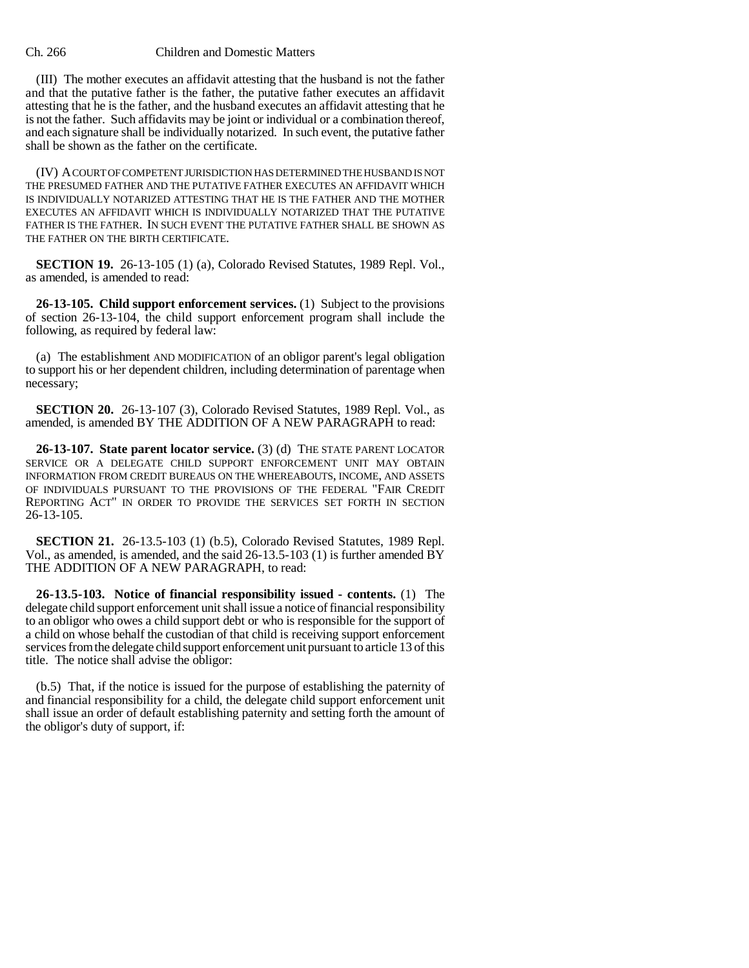#### Ch. 266 Children and Domestic Matters

(III) The mother executes an affidavit attesting that the husband is not the father and that the putative father is the father, the putative father executes an affidavit attesting that he is the father, and the husband executes an affidavit attesting that he is not the father. Such affidavits may be joint or individual or a combination thereof, and each signature shall be individually notarized. In such event, the putative father shall be shown as the father on the certificate.

(IV) A COURT OF COMPETENT JURISDICTION HAS DETERMINED THE HUSBAND IS NOT THE PRESUMED FATHER AND THE PUTATIVE FATHER EXECUTES AN AFFIDAVIT WHICH IS INDIVIDUALLY NOTARIZED ATTESTING THAT HE IS THE FATHER AND THE MOTHER EXECUTES AN AFFIDAVIT WHICH IS INDIVIDUALLY NOTARIZED THAT THE PUTATIVE FATHER IS THE FATHER. IN SUCH EVENT THE PUTATIVE FATHER SHALL BE SHOWN AS THE FATHER ON THE BIRTH CERTIFICATE.

**SECTION 19.** 26-13-105 (1) (a), Colorado Revised Statutes, 1989 Repl. Vol., as amended, is amended to read:

**26-13-105. Child support enforcement services.** (1) Subject to the provisions of section 26-13-104, the child support enforcement program shall include the following, as required by federal law:

(a) The establishment AND MODIFICATION of an obligor parent's legal obligation to support his or her dependent children, including determination of parentage when necessary;

**SECTION 20.** 26-13-107 (3), Colorado Revised Statutes, 1989 Repl. Vol., as amended, is amended BY THE ADDITION OF A NEW PARAGRAPH to read:

**26-13-107. State parent locator service.** (3) (d) THE STATE PARENT LOCATOR SERVICE OR A DELEGATE CHILD SUPPORT ENFORCEMENT UNIT MAY OBTAIN INFORMATION FROM CREDIT BUREAUS ON THE WHEREABOUTS, INCOME, AND ASSETS OF INDIVIDUALS PURSUANT TO THE PROVISIONS OF THE FEDERAL "FAIR CREDIT REPORTING ACT" IN ORDER TO PROVIDE THE SERVICES SET FORTH IN SECTION 26-13-105.

**SECTION 21.** 26-13.5-103 (1) (b.5), Colorado Revised Statutes, 1989 Repl. Vol., as amended, is amended, and the said 26-13.5-103 (1) is further amended BY THE ADDITION OF A NEW PARAGRAPH, to read:

**26-13.5-103. Notice of financial responsibility issued - contents.** (1) The delegate child support enforcement unit shall issue a notice of financial responsibility to an obligor who owes a child support debt or who is responsible for the support of a child on whose behalf the custodian of that child is receiving support enforcement services from the delegate child support enforcement unit pursuant to article 13 of this title. The notice shall advise the obligor:

(b.5) That, if the notice is issued for the purpose of establishing the paternity of and financial responsibility for a child, the delegate child support enforcement unit shall issue an order of default establishing paternity and setting forth the amount of the obligor's duty of support, if: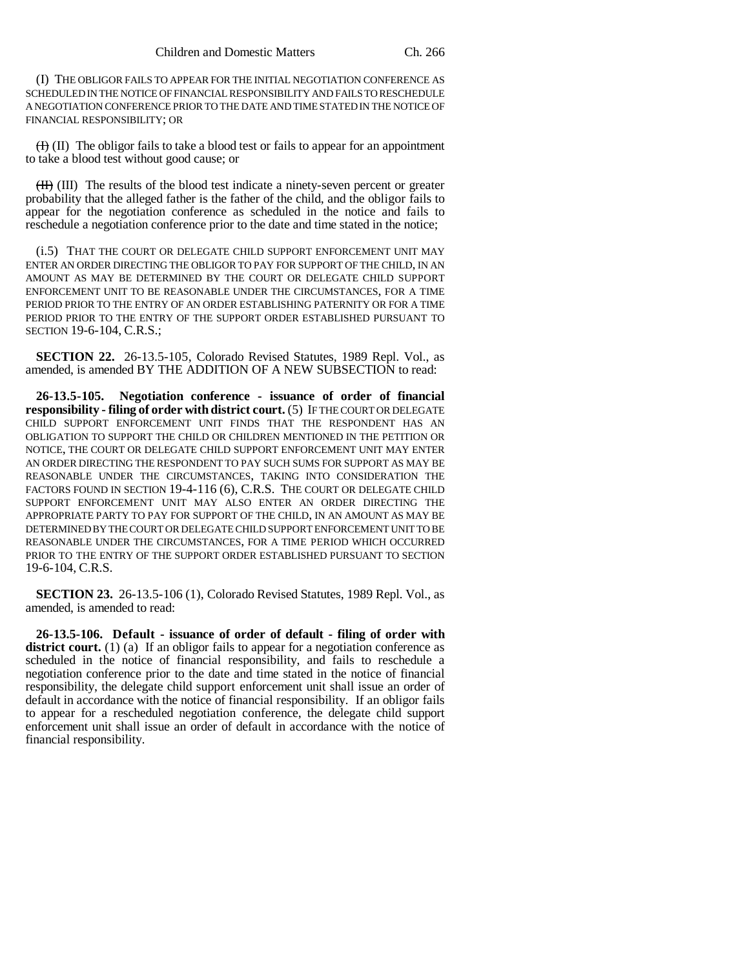(I) THE OBLIGOR FAILS TO APPEAR FOR THE INITIAL NEGOTIATION CONFERENCE AS SCHEDULED IN THE NOTICE OF FINANCIAL RESPONSIBILITY AND FAILS TO RESCHEDULE A NEGOTIATION CONFERENCE PRIOR TO THE DATE AND TIME STATED IN THE NOTICE OF FINANCIAL RESPONSIBILITY; OR

(I) (II) The obligor fails to take a blood test or fails to appear for an appointment to take a blood test without good cause; or

(II) (III) The results of the blood test indicate a ninety-seven percent or greater probability that the alleged father is the father of the child, and the obligor fails to appear for the negotiation conference as scheduled in the notice and fails to reschedule a negotiation conference prior to the date and time stated in the notice;

(i.5) THAT THE COURT OR DELEGATE CHILD SUPPORT ENFORCEMENT UNIT MAY ENTER AN ORDER DIRECTING THE OBLIGOR TO PAY FOR SUPPORT OF THE CHILD, IN AN AMOUNT AS MAY BE DETERMINED BY THE COURT OR DELEGATE CHILD SUPPORT ENFORCEMENT UNIT TO BE REASONABLE UNDER THE CIRCUMSTANCES, FOR A TIME PERIOD PRIOR TO THE ENTRY OF AN ORDER ESTABLISHING PATERNITY OR FOR A TIME PERIOD PRIOR TO THE ENTRY OF THE SUPPORT ORDER ESTABLISHED PURSUANT TO SECTION 19-6-104, C.R.S.;

**SECTION 22.** 26-13.5-105, Colorado Revised Statutes, 1989 Repl. Vol., as amended, is amended BY THE ADDITION OF A NEW SUBSECTION to read:

**26-13.5-105. Negotiation conference - issuance of order of financial responsibility - filing of order with district court.** (5) IF THE COURT OR DELEGATE CHILD SUPPORT ENFORCEMENT UNIT FINDS THAT THE RESPONDENT HAS AN OBLIGATION TO SUPPORT THE CHILD OR CHILDREN MENTIONED IN THE PETITION OR NOTICE, THE COURT OR DELEGATE CHILD SUPPORT ENFORCEMENT UNIT MAY ENTER AN ORDER DIRECTING THE RESPONDENT TO PAY SUCH SUMS FOR SUPPORT AS MAY BE REASONABLE UNDER THE CIRCUMSTANCES, TAKING INTO CONSIDERATION THE FACTORS FOUND IN SECTION 19-4-116 (6), C.R.S. THE COURT OR DELEGATE CHILD SUPPORT ENFORCEMENT UNIT MAY ALSO ENTER AN ORDER DIRECTING THE APPROPRIATE PARTY TO PAY FOR SUPPORT OF THE CHILD, IN AN AMOUNT AS MAY BE DETERMINED BY THE COURT OR DELEGATE CHILD SUPPORT ENFORCEMENT UNIT TO BE REASONABLE UNDER THE CIRCUMSTANCES, FOR A TIME PERIOD WHICH OCCURRED PRIOR TO THE ENTRY OF THE SUPPORT ORDER ESTABLISHED PURSUANT TO SECTION 19-6-104, C.R.S.

**SECTION 23.** 26-13.5-106 (1), Colorado Revised Statutes, 1989 Repl. Vol., as amended, is amended to read:

**26-13.5-106. Default - issuance of order of default - filing of order with** district court. (1) (a) If an obligor fails to appear for a negotiation conference as scheduled in the notice of financial responsibility, and fails to reschedule a negotiation conference prior to the date and time stated in the notice of financial responsibility, the delegate child support enforcement unit shall issue an order of default in accordance with the notice of financial responsibility. If an obligor fails to appear for a rescheduled negotiation conference, the delegate child support enforcement unit shall issue an order of default in accordance with the notice of financial responsibility.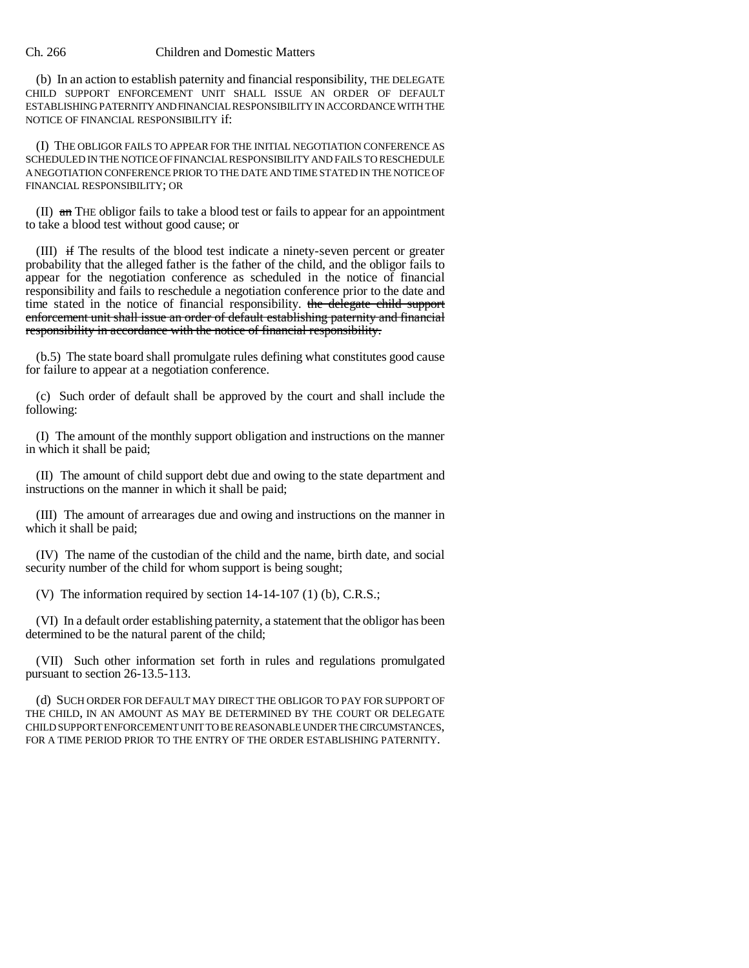### Ch. 266 Children and Domestic Matters

(b) In an action to establish paternity and financial responsibility, THE DELEGATE CHILD SUPPORT ENFORCEMENT UNIT SHALL ISSUE AN ORDER OF DEFAULT ESTABLISHING PATERNITY AND FINANCIAL RESPONSIBILITY IN ACCORDANCE WITH THE NOTICE OF FINANCIAL RESPONSIBILITY if:

(I) THE OBLIGOR FAILS TO APPEAR FOR THE INITIAL NEGOTIATION CONFERENCE AS SCHEDULED IN THE NOTICE OF FINANCIAL RESPONSIBILITY AND FAILS TO RESCHEDULE A NEGOTIATION CONFERENCE PRIOR TO THE DATE AND TIME STATED IN THE NOTICE OF FINANCIAL RESPONSIBILITY; OR

(II) an THE obligor fails to take a blood test or fails to appear for an appointment to take a blood test without good cause; or

(III) if The results of the blood test indicate a ninety-seven percent or greater probability that the alleged father is the father of the child, and the obligor fails to appear for the negotiation conference as scheduled in the notice of financial responsibility and fails to reschedule a negotiation conference prior to the date and time stated in the notice of financial responsibility. the delegate child support enforcement unit shall issue an order of default establishing paternity and financial responsibility in accordance with the notice of financial responsibility.

(b.5) The state board shall promulgate rules defining what constitutes good cause for failure to appear at a negotiation conference.

(c) Such order of default shall be approved by the court and shall include the following:

(I) The amount of the monthly support obligation and instructions on the manner in which it shall be paid;

(II) The amount of child support debt due and owing to the state department and instructions on the manner in which it shall be paid;

(III) The amount of arrearages due and owing and instructions on the manner in which it shall be paid;

(IV) The name of the custodian of the child and the name, birth date, and social security number of the child for whom support is being sought;

(V) The information required by section 14-14-107 (1) (b), C.R.S.;

(VI) In a default order establishing paternity, a statement that the obligor has been determined to be the natural parent of the child;

(VII) Such other information set forth in rules and regulations promulgated pursuant to section 26-13.5-113.

(d) SUCH ORDER FOR DEFAULT MAY DIRECT THE OBLIGOR TO PAY FOR SUPPORT OF THE CHILD, IN AN AMOUNT AS MAY BE DETERMINED BY THE COURT OR DELEGATE CHILD SUPPORT ENFORCEMENT UNIT TO BE REASONABLE UNDER THE CIRCUMSTANCES, FOR A TIME PERIOD PRIOR TO THE ENTRY OF THE ORDER ESTABLISHING PATERNITY.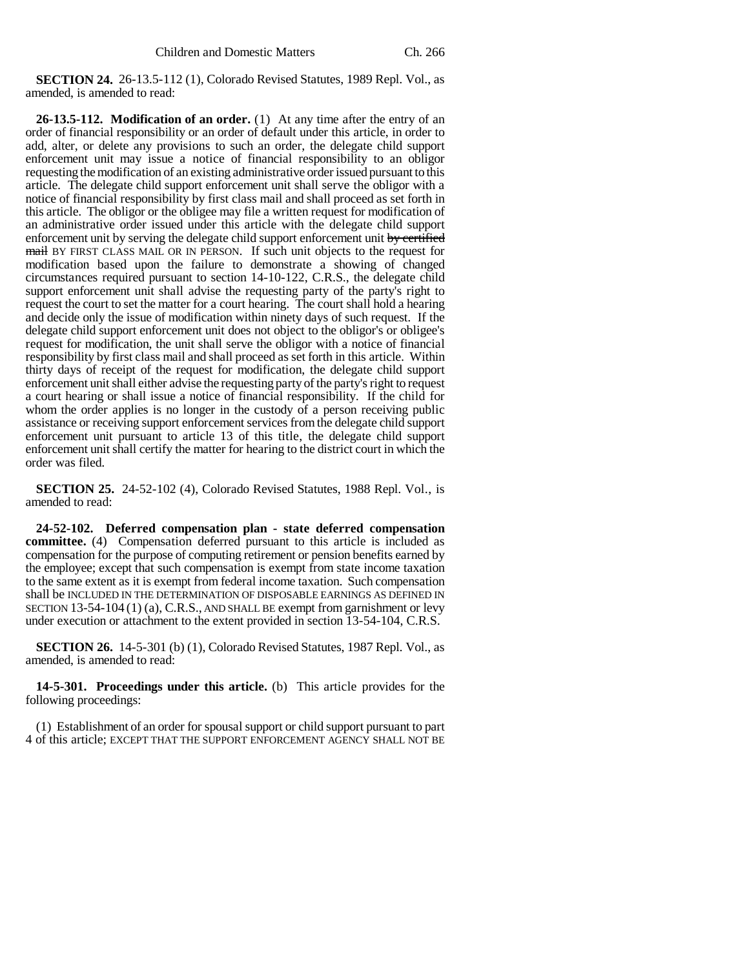**SECTION 24.** 26-13.5-112 (1), Colorado Revised Statutes, 1989 Repl. Vol., as amended, is amended to read:

**26-13.5-112. Modification of an order.** (1) At any time after the entry of an order of financial responsibility or an order of default under this article, in order to add, alter, or delete any provisions to such an order, the delegate child support enforcement unit may issue a notice of financial responsibility to an obligor requesting the modification of an existing administrative order issued pursuant to this article. The delegate child support enforcement unit shall serve the obligor with a notice of financial responsibility by first class mail and shall proceed as set forth in this article. The obligor or the obligee may file a written request for modification of an administrative order issued under this article with the delegate child support enforcement unit by serving the delegate child support enforcement unit by certified mail BY FIRST CLASS MAIL OR IN PERSON. If such unit objects to the request for modification based upon the failure to demonstrate a showing of changed circumstances required pursuant to section 14-10-122, C.R.S., the delegate child support enforcement unit shall advise the requesting party of the party's right to request the court to set the matter for a court hearing. The court shall hold a hearing and decide only the issue of modification within ninety days of such request. If the delegate child support enforcement unit does not object to the obligor's or obligee's request for modification, the unit shall serve the obligor with a notice of financial responsibility by first class mail and shall proceed as set forth in this article. Within thirty days of receipt of the request for modification, the delegate child support enforcement unit shall either advise the requesting party of the party's right to request a court hearing or shall issue a notice of financial responsibility. If the child for whom the order applies is no longer in the custody of a person receiving public assistance or receiving support enforcement services from the delegate child support enforcement unit pursuant to article 13 of this title, the delegate child support enforcement unit shall certify the matter for hearing to the district court in which the order was filed.

**SECTION 25.** 24-52-102 (4), Colorado Revised Statutes, 1988 Repl. Vol., is amended to read:

**24-52-102. Deferred compensation plan - state deferred compensation committee.** (4) Compensation deferred pursuant to this article is included as compensation for the purpose of computing retirement or pension benefits earned by the employee; except that such compensation is exempt from state income taxation to the same extent as it is exempt from federal income taxation. Such compensation shall be INCLUDED IN THE DETERMINATION OF DISPOSABLE EARNINGS AS DEFINED IN SECTION 13-54-104 (1) (a), C.R.S., AND SHALL BE exempt from garnishment or levy under execution or attachment to the extent provided in section 13-54-104, C.R.S.

**SECTION 26.** 14-5-301 (b) (1), Colorado Revised Statutes, 1987 Repl. Vol., as amended, is amended to read:

**14-5-301. Proceedings under this article.** (b) This article provides for the following proceedings:

(1) Establishment of an order for spousal support or child support pursuant to part 4 of this article; EXCEPT THAT THE SUPPORT ENFORCEMENT AGENCY SHALL NOT BE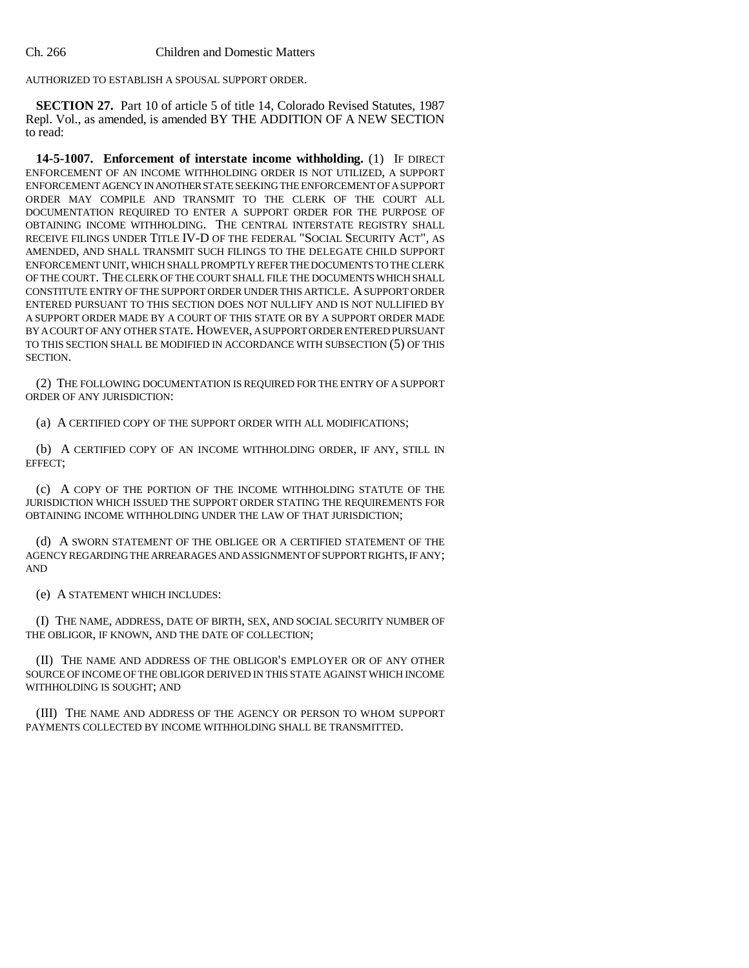AUTHORIZED TO ESTABLISH A SPOUSAL SUPPORT ORDER.

**SECTION 27.** Part 10 of article 5 of title 14, Colorado Revised Statutes, 1987 Repl. Vol., as amended, is amended BY THE ADDITION OF A NEW SECTION to read:

**14-5-1007. Enforcement of interstate income withholding.** (1) IF DIRECT ENFORCEMENT OF AN INCOME WITHHOLDING ORDER IS NOT UTILIZED, A SUPPORT ENFORCEMENT AGENCY IN ANOTHER STATE SEEKING THE ENFORCEMENT OF A SUPPORT ORDER MAY COMPILE AND TRANSMIT TO THE CLERK OF THE COURT ALL DOCUMENTATION REQUIRED TO ENTER A SUPPORT ORDER FOR THE PURPOSE OF OBTAINING INCOME WITHHOLDING. THE CENTRAL INTERSTATE REGISTRY SHALL RECEIVE FILINGS UNDER TITLE IV-D OF THE FEDERAL "SOCIAL SECURITY ACT", AS AMENDED, AND SHALL TRANSMIT SUCH FILINGS TO THE DELEGATE CHILD SUPPORT ENFORCEMENT UNIT, WHICH SHALL PROMPTLY REFER THE DOCUMENTS TO THE CLERK OF THE COURT. THE CLERK OF THE COURT SHALL FILE THE DOCUMENTS WHICH SHALL CONSTITUTE ENTRY OF THE SUPPORT ORDER UNDER THIS ARTICLE. A SUPPORT ORDER ENTERED PURSUANT TO THIS SECTION DOES NOT NULLIFY AND IS NOT NULLIFIED BY A SUPPORT ORDER MADE BY A COURT OF THIS STATE OR BY A SUPPORT ORDER MADE BY A COURT OF ANY OTHER STATE. HOWEVER, A SUPPORT ORDER ENTERED PURSUANT TO THIS SECTION SHALL BE MODIFIED IN ACCORDANCE WITH SUBSECTION (5) OF THIS SECTION.

(2) THE FOLLOWING DOCUMENTATION IS REQUIRED FOR THE ENTRY OF A SUPPORT ORDER OF ANY JURISDICTION:

(a) A CERTIFIED COPY OF THE SUPPORT ORDER WITH ALL MODIFICATIONS;

(b) A CERTIFIED COPY OF AN INCOME WITHHOLDING ORDER, IF ANY, STILL IN EFFECT;

(c) A COPY OF THE PORTION OF THE INCOME WITHHOLDING STATUTE OF THE JURISDICTION WHICH ISSUED THE SUPPORT ORDER STATING THE REQUIREMENTS FOR OBTAINING INCOME WITHHOLDING UNDER THE LAW OF THAT JURISDICTION;

(d) A SWORN STATEMENT OF THE OBLIGEE OR A CERTIFIED STATEMENT OF THE AGENCY REGARDING THE ARREARAGES AND ASSIGNMENT OF SUPPORT RIGHTS, IF ANY; AND

(e) A STATEMENT WHICH INCLUDES:

(I) THE NAME, ADDRESS, DATE OF BIRTH, SEX, AND SOCIAL SECURITY NUMBER OF THE OBLIGOR, IF KNOWN, AND THE DATE OF COLLECTION;

(II) THE NAME AND ADDRESS OF THE OBLIGOR'S EMPLOYER OR OF ANY OTHER SOURCE OF INCOME OF THE OBLIGOR DERIVED IN THIS STATE AGAINST WHICH INCOME WITHHOLDING IS SOUGHT; AND

(III) THE NAME AND ADDRESS OF THE AGENCY OR PERSON TO WHOM SUPPORT PAYMENTS COLLECTED BY INCOME WITHHOLDING SHALL BE TRANSMITTED.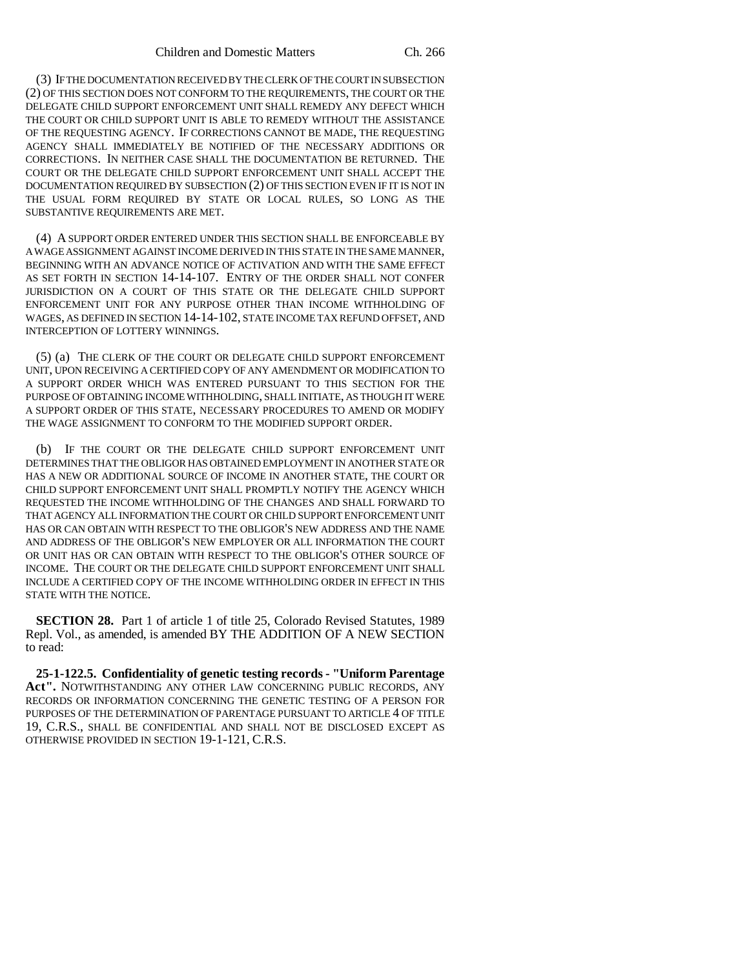(3) IF THE DOCUMENTATION RECEIVED BY THE CLERK OF THE COURT IN SUBSECTION (2) OF THIS SECTION DOES NOT CONFORM TO THE REQUIREMENTS, THE COURT OR THE DELEGATE CHILD SUPPORT ENFORCEMENT UNIT SHALL REMEDY ANY DEFECT WHICH THE COURT OR CHILD SUPPORT UNIT IS ABLE TO REMEDY WITHOUT THE ASSISTANCE OF THE REQUESTING AGENCY. IF CORRECTIONS CANNOT BE MADE, THE REQUESTING AGENCY SHALL IMMEDIATELY BE NOTIFIED OF THE NECESSARY ADDITIONS OR CORRECTIONS. IN NEITHER CASE SHALL THE DOCUMENTATION BE RETURNED. THE COURT OR THE DELEGATE CHILD SUPPORT ENFORCEMENT UNIT SHALL ACCEPT THE DOCUMENTATION REQUIRED BY SUBSECTION (2) OF THIS SECTION EVEN IF IT IS NOT IN THE USUAL FORM REQUIRED BY STATE OR LOCAL RULES, SO LONG AS THE SUBSTANTIVE REQUIREMENTS ARE MET.

(4) A SUPPORT ORDER ENTERED UNDER THIS SECTION SHALL BE ENFORCEABLE BY A WAGE ASSIGNMENT AGAINST INCOME DERIVED IN THIS STATE IN THE SAME MANNER, BEGINNING WITH AN ADVANCE NOTICE OF ACTIVATION AND WITH THE SAME EFFECT AS SET FORTH IN SECTION 14-14-107. ENTRY OF THE ORDER SHALL NOT CONFER JURISDICTION ON A COURT OF THIS STATE OR THE DELEGATE CHILD SUPPORT ENFORCEMENT UNIT FOR ANY PURPOSE OTHER THAN INCOME WITHHOLDING OF WAGES, AS DEFINED IN SECTION 14-14-102, STATE INCOME TAX REFUND OFFSET, AND INTERCEPTION OF LOTTERY WINNINGS.

(5) (a) THE CLERK OF THE COURT OR DELEGATE CHILD SUPPORT ENFORCEMENT UNIT, UPON RECEIVING A CERTIFIED COPY OF ANY AMENDMENT OR MODIFICATION TO A SUPPORT ORDER WHICH WAS ENTERED PURSUANT TO THIS SECTION FOR THE PURPOSE OF OBTAINING INCOME WITHHOLDING, SHALL INITIATE, AS THOUGH IT WERE A SUPPORT ORDER OF THIS STATE, NECESSARY PROCEDURES TO AMEND OR MODIFY THE WAGE ASSIGNMENT TO CONFORM TO THE MODIFIED SUPPORT ORDER.

(b) IF THE COURT OR THE DELEGATE CHILD SUPPORT ENFORCEMENT UNIT DETERMINES THAT THE OBLIGOR HAS OBTAINED EMPLOYMENT IN ANOTHER STATE OR HAS A NEW OR ADDITIONAL SOURCE OF INCOME IN ANOTHER STATE, THE COURT OR CHILD SUPPORT ENFORCEMENT UNIT SHALL PROMPTLY NOTIFY THE AGENCY WHICH REQUESTED THE INCOME WITHHOLDING OF THE CHANGES AND SHALL FORWARD TO THAT AGENCY ALL INFORMATION THE COURT OR CHILD SUPPORT ENFORCEMENT UNIT HAS OR CAN OBTAIN WITH RESPECT TO THE OBLIGOR'S NEW ADDRESS AND THE NAME AND ADDRESS OF THE OBLIGOR'S NEW EMPLOYER OR ALL INFORMATION THE COURT OR UNIT HAS OR CAN OBTAIN WITH RESPECT TO THE OBLIGOR'S OTHER SOURCE OF INCOME. THE COURT OR THE DELEGATE CHILD SUPPORT ENFORCEMENT UNIT SHALL INCLUDE A CERTIFIED COPY OF THE INCOME WITHHOLDING ORDER IN EFFECT IN THIS STATE WITH THE NOTICE.

**SECTION 28.** Part 1 of article 1 of title 25, Colorado Revised Statutes, 1989 Repl. Vol., as amended, is amended BY THE ADDITION OF A NEW SECTION to read:

**25-1-122.5. Confidentiality of genetic testing records - "Uniform Parentage Act".** NOTWITHSTANDING ANY OTHER LAW CONCERNING PUBLIC RECORDS, ANY RECORDS OR INFORMATION CONCERNING THE GENETIC TESTING OF A PERSON FOR PURPOSES OF THE DETERMINATION OF PARENTAGE PURSUANT TO ARTICLE 4 OF TITLE 19, C.R.S., SHALL BE CONFIDENTIAL AND SHALL NOT BE DISCLOSED EXCEPT AS OTHERWISE PROVIDED IN SECTION 19-1-121, C.R.S.